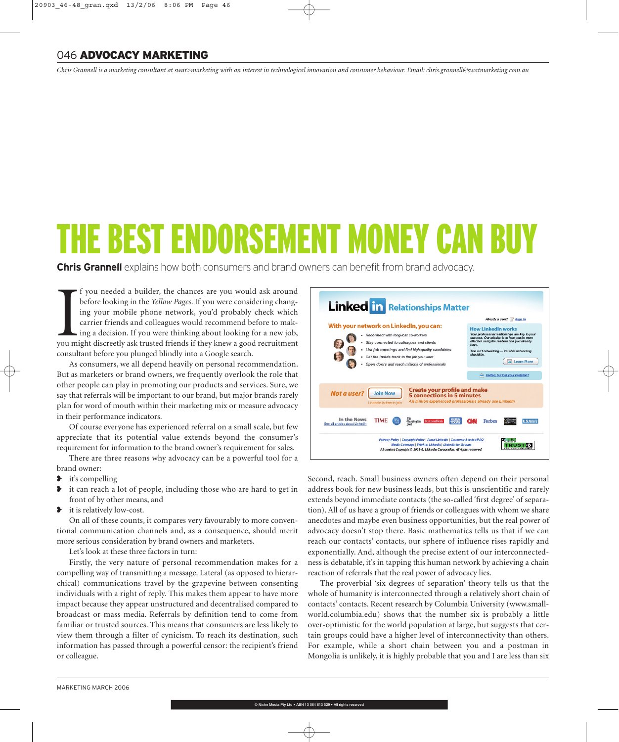## 046 **ADVOCACY MARKETING**

*Chris Grannell is a marketing consultant at swat>marketing with an interest in technological innovation and consumer behaviour. Email: chris.grannell@swatmarketing.com.au*

# THE BEST ENDORSEMENT MONEY CAN BU

**Chris Grannell** explains how both consumers and brand owners can benefit from brand advocacy.

If you needed a builder, the chances are you would ask around before looking in the *Yellow Pages*. If you were considering changing your mobile phone network, you'd probably check which carrier friends and colleagues woul f you needed a builder, the chances are you would ask around before looking in the *Yellow Pages*. If you were considering changing your mobile phone network, you'd probably check which carrier friends and colleagues would recommend before to making a decision. If you were thinking about looking for a new job, consultant before you plunged blindly into a Google search.

As consumers, we all depend heavily on personal recommendation. But as marketers or brand owners, we frequently overlook the role that other people can play in promoting our products and services. Sure, we say that referrals will be important to our brand, but major brands rarely plan for word of mouth within their marketing mix or measure advocacy in their performance indicators.

Of course everyone has experienced referral on a small scale, but few appreciate that its potential value extends beyond the consumer's requirement for information to the brand owner's requirement for sales.

There are three reasons why advocacy can be a powerful tool for a brand owner:

- **►** it's compelling
- ❥ it can reach a lot of people, including those who are hard to get in front of by other means, and
- ❥ it is relatively low-cost.

On all of these counts, it compares very favourably to more conventional communication channels and, as a consequence, should merit more serious consideration by brand owners and marketers.

Let's look at these three factors in turn:

Firstly, the very nature of personal recommendation makes for a compelling way of transmitting a message. Lateral (as opposed to hierarchical) communications travel by the grapevine between consenting individuals with a right of reply. This makes them appear to have more impact because they appear unstructured and decentralised compared to broadcast or mass media. Referrals by definition tend to come from familiar or trusted sources. This means that consumers are less likely to view them through a filter of cynicism. To reach its destination, such information has passed through a powerful censor: the recipient's friend or colleague.



Second, reach. Small business owners often depend on their personal address book for new business leads, but this is unscientific and rarely extends beyond immediate contacts (the so-called 'first degree' of separation). All of us have a group of friends or colleagues with whom we share anecdotes and maybe even business opportunities, but the real power of advocacy doesn't stop there. Basic mathematics tells us that if we can reach our contacts' contacts, our sphere of influence rises rapidly and exponentially. And, although the precise extent of our interconnectedness is debatable, it's in tapping this human network by achieving a chain reaction of referrals that the real power of advocacy lies.

The proverbial 'six degrees of separation' theory tells us that the whole of humanity is interconnected through a relatively short chain of contacts' contacts. Recent research by Columbia University (www.smallworld.columbia.edu) shows that the number six is probably a little over-optimistic for the world population at large, but suggests that certain groups could have a higher level of interconnectivity than others. For example, while a short chain between you and a postman in Mongolia is unlikely, it is highly probable that you and I are less than six

® Niche Media Pty Ltd . ABN 13 064 613 529 . All rights re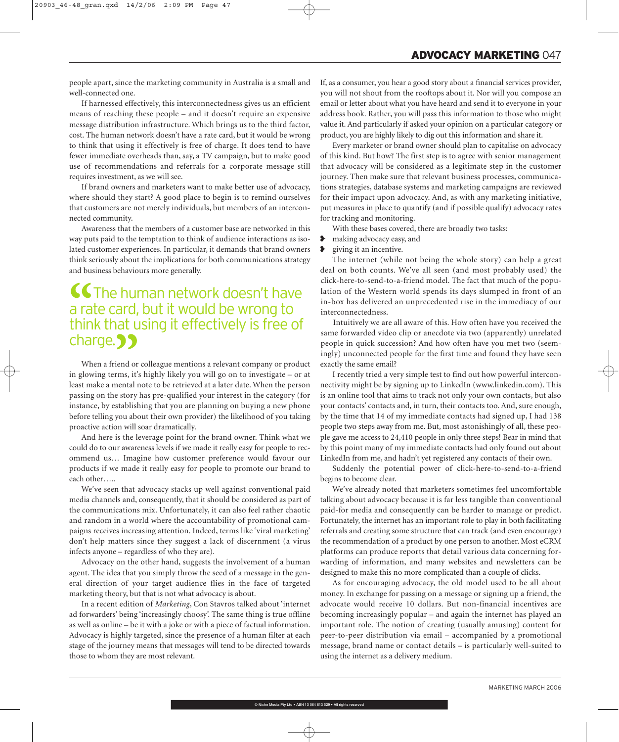people apart, since the marketing community in Australia is a small and well-connected one.

If harnessed effectively, this interconnectedness gives us an efficient means of reaching these people – and it doesn't require an expensive message distribution infrastructure. Which brings us to the third factor, cost. The human network doesn't have a rate card, but it would be wrong to think that using it effectively is free of charge. It does tend to have fewer immediate overheads than, say, a TV campaign, but to make good use of recommendations and referrals for a corporate message still requires investment, as we will see.

If brand owners and marketers want to make better use of advocacy, where should they start? A good place to begin is to remind ourselves that customers are not merely individuals, but members of an interconnected community.

Awareness that the members of a customer base are networked in this way puts paid to the temptation to think of audience interactions as isolated customer experiences. In particular, it demands that brand owners think seriously about the implications for both communications strategy and business behaviours more generally.

# **CC** The human network doesn't have a rate card, but it would be wrong to think that using it effectively is free of a rate card, but it would be wrong to charge. ??

When a friend or colleague mentions a relevant company or product in glowing terms, it's highly likely you will go on to investigate – or at least make a mental note to be retrieved at a later date. When the person passing on the story has pre-qualified your interest in the category (for instance, by establishing that you are planning on buying a new phone before telling you about their own provider) the likelihood of you taking proactive action will soar dramatically.

And here is the leverage point for the brand owner. Think what we could do to our awareness levels if we made it really easy for people to recommend us… Imagine how customer preference would favour our products if we made it really easy for people to promote our brand to each other…..

We've seen that advocacy stacks up well against conventional paid media channels and, consequently, that it should be considered as part of the communications mix. Unfortunately, it can also feel rather chaotic and random in a world where the accountability of promotional campaigns receives increasing attention. Indeed, terms like 'viral marketing' don't help matters since they suggest a lack of discernment (a virus infects anyone – regardless of who they are).

Advocacy on the other hand, suggests the involvement of a human agent. The idea that you simply throw the seed of a message in the general direction of your target audience flies in the face of targeted marketing theory, but that is not what advocacy is about.

In a recent edition of *Marketing*, Con Stavros talked about 'internet ad forwarders' being 'increasingly choosy'. The same thing is true offline as well as online – be it with a joke or with a piece of factual information. Advocacy is highly targeted, since the presence of a human filter at each stage of the journey means that messages will tend to be directed towards those to whom they are most relevant.

If, as a consumer, you hear a good story about a financial services provider, you will not shout from the rooftops about it. Nor will you compose an email or letter about what you have heard and send it to everyone in your address book. Rather, you will pass this information to those who might value it. And particularly if asked your opinion on a particular category or product, you are highly likely to dig out this information and share it.

Every marketer or brand owner should plan to capitalise on advocacy of this kind. But how? The first step is to agree with senior management that advocacy will be considered as a legitimate step in the customer journey. Then make sure that relevant business processes, communications strategies, database systems and marketing campaigns are reviewed for their impact upon advocacy. And, as with any marketing initiative, put measures in place to quantify (and if possible qualify) advocacy rates for tracking and monitoring.

With these bases covered, there are broadly two tasks:

- ❥ making advocacy easy, and
- ❥ giving it an incentive.

The internet (while not being the whole story) can help a great deal on both counts. We've all seen (and most probably used) the click-here-to-send-to-a-friend model. The fact that much of the population of the Western world spends its days slumped in front of an in-box has delivered an unprecedented rise in the immediacy of our interconnectedness.

Intuitively we are all aware of this. How often have you received the same forwarded video clip or anecdote via two (apparently) unrelated people in quick succession? And how often have you met two (seemingly) unconnected people for the first time and found they have seen exactly the same email?

I recently tried a very simple test to find out how powerful interconnectivity might be by signing up to LinkedIn (www.linkedin.com). This is an online tool that aims to track not only your own contacts, but also your contacts' contacts and, in turn, their contacts too. And, sure enough, by the time that 14 of my immediate contacts had signed up, I had 138 people two steps away from me. But, most astonishingly of all, these people gave me access to 24,410 people in only three steps! Bear in mind that by this point many of my immediate contacts had only found out about LinkedIn from me, and hadn't yet registered any contacts of their own.

Suddenly the potential power of click-here-to-send-to-a-friend begins to become clear.

We've already noted that marketers sometimes feel uncomfortable talking about advocacy because it is far less tangible than conventional paid-for media and consequently can be harder to manage or predict. Fortunately, the internet has an important role to play in both facilitating referrals and creating some structure that can track (and even encourage) the recommendation of a product by one person to another. Most eCRM platforms can produce reports that detail various data concerning forwarding of information, and many websites and newsletters can be designed to make this no more complicated than a couple of clicks.

As for encouraging advocacy, the old model used to be all about money. In exchange for passing on a message or signing up a friend, the advocate would receive 10 dollars. But non-financial incentives are becoming increasingly popular – and again the internet has played an important role. The notion of creating (usually amusing) content for peer-to-peer distribution via email – accompanied by a promotional message, brand name or contact details – is particularly well-suited to using the internet as a delivery medium.